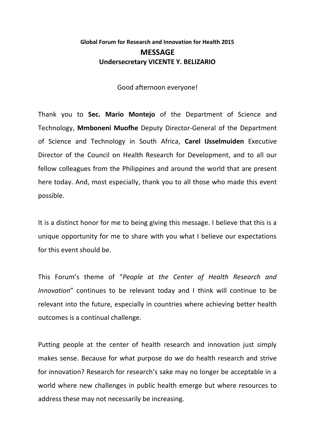## **Global Forum for Research and Innovation for Health 2015 MESSAGE Undersecretary VICENTE Y. BELIZARIO**

Good afternoon everyone!

Thank you to **Sec. Mario Montejo** of the Department of Science and Technology, **Mmboneni Muofhe** Deputy Director-General of the Department of Science and Technology in South Africa, **Carel IJsselmuiden** Executive Director of the Council on Health Research for Development, and to all our fellow colleagues from the Philippines and around the world that are present here today. And, most especially, thank you to all those who made this event possible.

It is a distinct honor for me to being giving this message. I believe that this is a unique opportunity for me to share with you what I believe our expectations for this event should be.

This Forum's theme of "*People at the Center of Health Research and Innovation*" continues to be relevant today and I think will continue to be relevant into the future, especially in countries where achieving better health outcomes is a continual challenge.

Putting people at the center of health research and innovation just simply makes sense. Because for what purpose do we do health research and strive for innovation? Research for research's sake may no longer be acceptable in a world where new challenges in public health emerge but where resources to address these may not necessarily be increasing.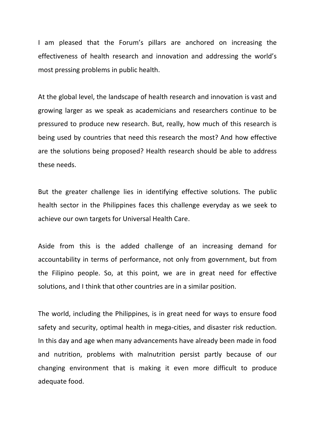I am pleased that the Forum's pillars are anchored on increasing the effectiveness of health research and innovation and addressing the world's most pressing problems in public health.

At the global level, the landscape of health research and innovation is vast and growing larger as we speak as academicians and researchers continue to be pressured to produce new research. But, really, how much of this research is being used by countries that need this research the most? And how effective are the solutions being proposed? Health research should be able to address these needs.

But the greater challenge lies in identifying effective solutions. The public health sector in the Philippines faces this challenge everyday as we seek to achieve our own targets for Universal Health Care.

Aside from this is the added challenge of an increasing demand for accountability in terms of performance, not only from government, but from the Filipino people. So, at this point, we are in great need for effective solutions, and I think that other countries are in a similar position.

The world, including the Philippines, is in great need for ways to ensure food safety and security, optimal health in mega-cities, and disaster risk reduction. In this day and age when many advancements have already been made in food and nutrition, problems with malnutrition persist partly because of our changing environment that is making it even more difficult to produce adequate food.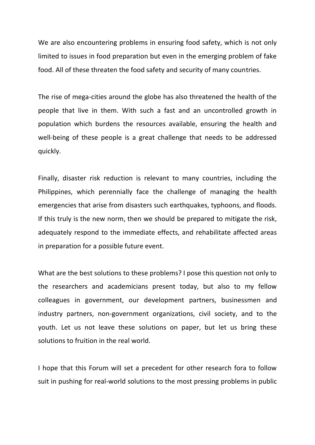We are also encountering problems in ensuring food safety, which is not only limited to issues in food preparation but even in the emerging problem of fake food. All of these threaten the food safety and security of many countries.

The rise of mega-cities around the globe has also threatened the health of the people that live in them. With such a fast and an uncontrolled growth in population which burdens the resources available, ensuring the health and well-being of these people is a great challenge that needs to be addressed quickly.

Finally, disaster risk reduction is relevant to many countries, including the Philippines, which perennially face the challenge of managing the health emergencies that arise from disasters such earthquakes, typhoons, and floods. If this truly is the new norm, then we should be prepared to mitigate the risk, adequately respond to the immediate effects, and rehabilitate affected areas in preparation for a possible future event.

What are the best solutions to these problems? I pose this question not only to the researchers and academicians present today, but also to my fellow colleagues in government, our development partners, businessmen and industry partners, non-government organizations, civil society, and to the youth. Let us not leave these solutions on paper, but let us bring these solutions to fruition in the real world.

I hope that this Forum will set a precedent for other research fora to follow suit in pushing for real-world solutions to the most pressing problems in public